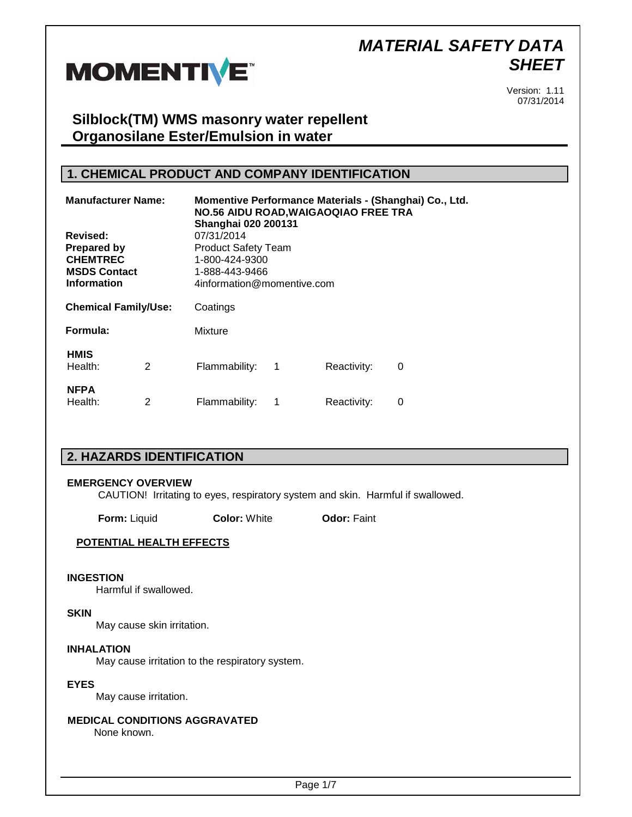

Version: 1.11 07/31/2014

## **Silblock(TM) WMS masonry water repellent Organosilane Ester/Emulsion in water**

## **1. CHEMICAL PRODUCT AND COMPANY IDENTIFICATION**

| <b>Manufacturer Name:</b><br>Revised:                                              |   | <b>NO.56 AIDU ROAD, WAIGAOQIAO FREE TRA</b><br><b>Shanghai 020 200131</b><br>07/31/2014      |   |             | Momentive Performance Materials - (Shanghai) Co., Ltd. |  |
|------------------------------------------------------------------------------------|---|----------------------------------------------------------------------------------------------|---|-------------|--------------------------------------------------------|--|
| <b>Prepared by</b><br><b>CHEMTREC</b><br><b>MSDS Contact</b><br><b>Information</b> |   | <b>Product Safety Team</b><br>1-800-424-9300<br>1-888-443-9466<br>4information@momentive.com |   |             |                                                        |  |
|                                                                                    |   |                                                                                              |   |             |                                                        |  |
| Formula:                                                                           |   | Mixture                                                                                      |   |             |                                                        |  |
| <b>HMIS</b><br>Health:                                                             | 2 | Flammability:                                                                                | 1 | Reactivity: | 0                                                      |  |
| <b>NFPA</b><br>Health:                                                             | 2 | Flammability:                                                                                | 1 | Reactivity: | 0                                                      |  |

## **2. HAZARDS IDENTIFICATION**

#### **EMERGENCY OVERVIEW**

CAUTION! Irritating to eyes, respiratory system and skin. Harmful if swallowed.

**Form:** Liquid **Color:** White **Odor: Faint** 

#### **POTENTIAL HEALTH EFFECTS**

#### **INGESTION**

Harmful if swallowed.

#### **SKIN**

May cause skin irritation.

#### **INHALATION**

May cause irritation to the respiratory system.

#### **EYES**

May cause irritation.

# **MEDICAL CONDITIONS AGGRAVATED**

None known.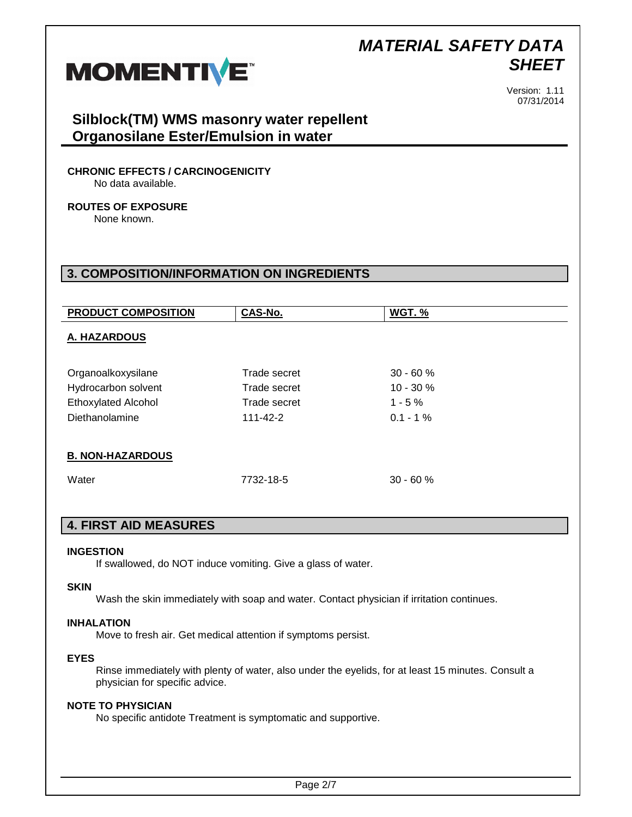

Version: 1.11 07/31/2014

## **Silblock(TM) WMS masonry water repellent Organosilane Ester/Emulsion in water**

### **CHRONIC EFFECTS / CARCINOGENICITY**

No data available.

# **ROUTES OF EXPOSURE**

None known.

## **3. COMPOSITION/INFORMATION ON INGREDIENTS**

| <b>PRODUCT COMPOSITION</b> | CAS-No.        | WGT.%       |
|----------------------------|----------------|-------------|
| A. HAZARDOUS               |                |             |
|                            |                |             |
| Organoalkoxysilane         | Trade secret   | $30 - 60%$  |
| Hydrocarbon solvent        | Trade secret   | $10 - 30%$  |
| <b>Ethoxylated Alcohol</b> | Trade secret   | $1 - 5 \%$  |
| Diethanolamine             | $111 - 42 - 2$ | $0.1 - 1\%$ |
|                            |                |             |
| <b>B. NON-HAZARDOUS</b>    |                |             |
| Water                      | 7732-18-5      | $30 - 60%$  |

## **4. FIRST AID MEASURES**

#### **INGESTION**

If swallowed, do NOT induce vomiting. Give a glass of water.

#### **SKIN**

Wash the skin immediately with soap and water. Contact physician if irritation continues.

#### **INHALATION**

Move to fresh air. Get medical attention if symptoms persist.

#### **EYES**

Rinse immediately with plenty of water, also under the eyelids, for at least 15 minutes. Consult a physician for specific advice.

### **NOTE TO PHYSICIAN**

No specific antidote Treatment is symptomatic and supportive.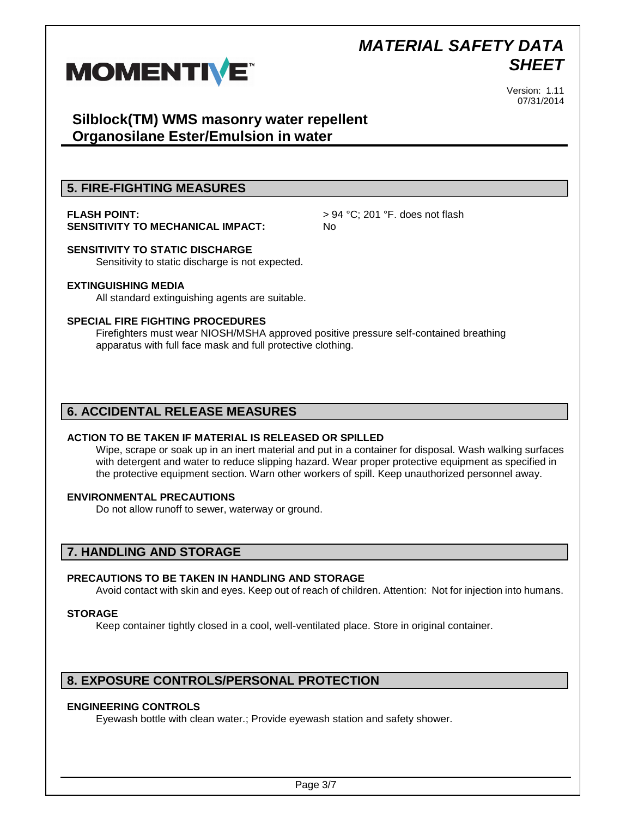

Version: 1.11 07/31/2014

## **Silblock(TM) WMS masonry water repellent Organosilane Ester/Emulsion in water**

## **5. FIRE-FIGHTING MEASURES**

# **SENSITIVITY TO MECHANICAL IMPACT:** No

**FLASH POINT:**  $> 94 \degree C$ ; 201 °F. does not flash

## **SENSITIVITY TO STATIC DISCHARGE**

Sensitivity to static discharge is not expected.

#### **EXTINGUISHING MEDIA**

All standard extinguishing agents are suitable.

#### **SPECIAL FIRE FIGHTING PROCEDURES**

Firefighters must wear NIOSH/MSHA approved positive pressure self-contained breathing apparatus with full face mask and full protective clothing.

## **6. ACCIDENTAL RELEASE MEASURES**

#### **ACTION TO BE TAKEN IF MATERIAL IS RELEASED OR SPILLED**

Wipe, scrape or soak up in an inert material and put in a container for disposal. Wash walking surfaces with detergent and water to reduce slipping hazard. Wear proper protective equipment as specified in the protective equipment section. Warn other workers of spill. Keep unauthorized personnel away.

#### **ENVIRONMENTAL PRECAUTIONS**

Do not allow runoff to sewer, waterway or ground.

## **7. HANDLING AND STORAGE**

### **PRECAUTIONS TO BE TAKEN IN HANDLING AND STORAGE**

Avoid contact with skin and eyes. Keep out of reach of children. Attention: Not for injection into humans.

#### **STORAGE**

Keep container tightly closed in a cool, well-ventilated place. Store in original container.

### **8. EXPOSURE CONTROLS/PERSONAL PROTECTION**

#### **ENGINEERING CONTROLS**

Eyewash bottle with clean water.; Provide eyewash station and safety shower.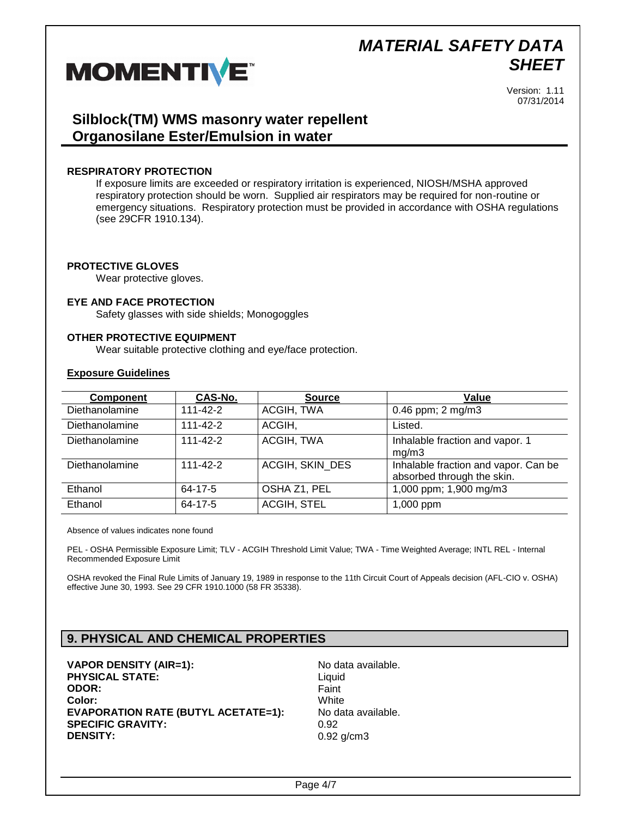

Version: 1.11 07/31/2014

## **Silblock(TM) WMS masonry water repellent Organosilane Ester/Emulsion in water**

#### **RESPIRATORY PROTECTION**

If exposure limits are exceeded or respiratory irritation is experienced, NIOSH/MSHA approved respiratory protection should be worn. Supplied air respirators may be required for non-routine or emergency situations. Respiratory protection must be provided in accordance with OSHA regulations (see 29CFR 1910.134).

#### **PROTECTIVE GLOVES**

Wear protective gloves.

#### **EYE AND FACE PROTECTION**

Safety glasses with side shields; Monogoggles

#### **OTHER PROTECTIVE EQUIPMENT**

Wear suitable protective clothing and eye/face protection.

#### **Exposure Guidelines**

| <b>Component</b> | CAS-No.        | <b>Source</b>      | <b>Value</b>                                                       |
|------------------|----------------|--------------------|--------------------------------------------------------------------|
| Diethanolamine   | $111 - 42 - 2$ | ACGIH, TWA         | 0.46 ppm; $2 \text{ mg/m}$ 3                                       |
| Diethanolamine   | $111 - 42 - 2$ | ACGIH,             | Listed.                                                            |
| Diethanolamine   | $111 - 42 - 2$ | ACGIH, TWA         | Inhalable fraction and vapor. 1<br>mg/m3                           |
| Diethanolamine   | $111 - 42 - 2$ | ACGIH, SKIN DES    | Inhalable fraction and vapor. Can be<br>absorbed through the skin. |
| Ethanol          | 64-17-5        | OSHA Z1, PEL       | 1,000 ppm; 1,900 mg/m3                                             |
| Ethanol          | 64-17-5        | <b>ACGIH, STEL</b> | 1,000 ppm                                                          |

Absence of values indicates none found

PEL - OSHA Permissible Exposure Limit; TLV - ACGIH Threshold Limit Value; TWA - Time Weighted Average; INTL REL - Internal Recommended Exposure Limit

OSHA revoked the Final Rule Limits of January 19, 1989 in response to the 11th Circuit Court of Appeals decision (AFL-CIO v. OSHA) effective June 30, 1993. See 29 CFR 1910.1000 (58 FR 35338).

## **9. PHYSICAL AND CHEMICAL PROPERTIES**

**VAPOR DENSITY (AIR=1):** No data available. **PHYSICAL STATE:** Liquid **ODOR:** Faint **Color:** White **EVAPORATION RATE (BUTYL ACETATE=1):** No data available. **SPECIFIC GRAVITY:** 0.92 **DENSITY:** 0.92 g/cm3

Page 4/7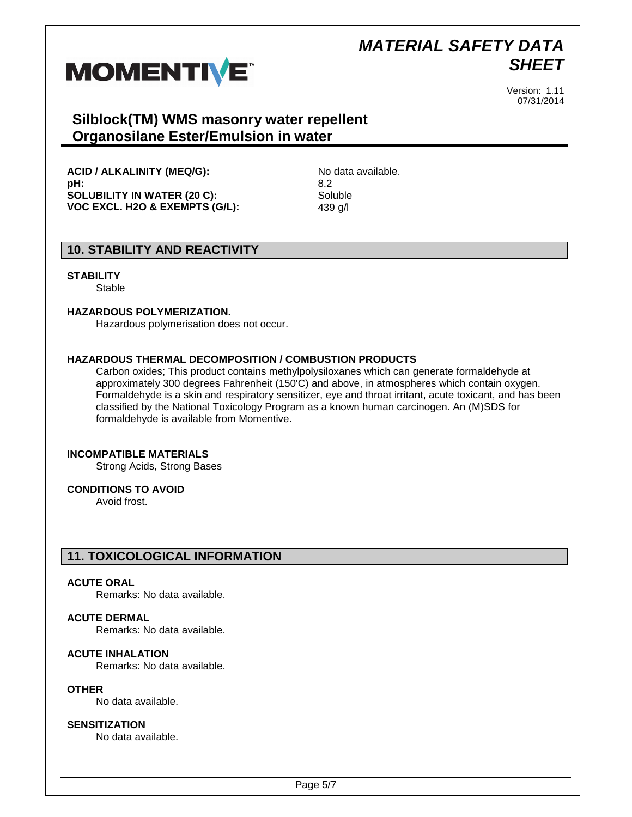

Version: 1.11 07/31/2014

## **Silblock(TM) WMS masonry water repellent Organosilane Ester/Emulsion in water**

**ACID / ALKALINITY (MEQ/G):** No data available. **pH:** 8.2 **SOLUBILITY IN WATER (20 C):** Soluble **VOC EXCL. H2O & EXEMPTS (G/L):** 439 g/l

## **10. STABILITY AND REACTIVITY**

#### **STABILITY**

**Stable** 

#### **HAZARDOUS POLYMERIZATION.**

Hazardous polymerisation does not occur.

#### **HAZARDOUS THERMAL DECOMPOSITION / COMBUSTION PRODUCTS**

Carbon oxides; This product contains methylpolysiloxanes which can generate formaldehyde at approximately 300 degrees Fahrenheit (150'C) and above, in atmospheres which contain oxygen. Formaldehyde is a skin and respiratory sensitizer, eye and throat irritant, acute toxicant, and has been classified by the National Toxicology Program as a known human carcinogen. An (M)SDS for formaldehyde is available from Momentive.

#### **INCOMPATIBLE MATERIALS**

Strong Acids, Strong Bases

#### **CONDITIONS TO AVOID**

Avoid frost.

### **11. TOXICOLOGICAL INFORMATION**

#### **ACUTE ORAL**

Remarks: No data available.

#### **ACUTE DERMAL**

Remarks: No data available.

#### **ACUTE INHALATION**

Remarks: No data available.

#### **OTHER**

No data available.

#### **SENSITIZATION**

No data available.

Page 5/7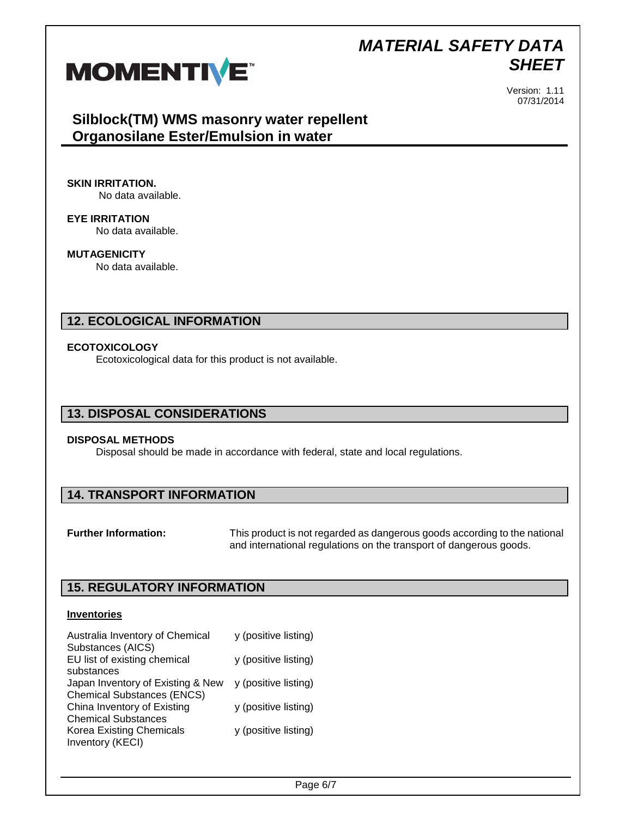

Version: 1.11 07/31/2014

## **Silblock(TM) WMS masonry water repellent Organosilane Ester/Emulsion in water**

**SKIN IRRITATION.**

No data available.

**EYE IRRITATION** No data available.

**MUTAGENICITY** No data available.

## **12. ECOLOGICAL INFORMATION**

#### **ECOTOXICOLOGY**

Ecotoxicological data for this product is not available.

### **13. DISPOSAL CONSIDERATIONS**

#### **DISPOSAL METHODS**

Disposal should be made in accordance with federal, state and local regulations.

### **14. TRANSPORT INFORMATION**

**Further Information:** This product is not regarded as dangerous goods according to the national and international regulations on the transport of dangerous goods.

## **15. REGULATORY INFORMATION**

#### **Inventories**

| Australia Inventory of Chemical   | y (positive listing) |
|-----------------------------------|----------------------|
| Substances (AICS)                 |                      |
| EU list of existing chemical      | y (positive listing) |
| substances                        |                      |
| Japan Inventory of Existing & New | y (positive listing) |
| <b>Chemical Substances (ENCS)</b> |                      |
| China Inventory of Existing       | y (positive listing) |
| <b>Chemical Substances</b>        |                      |
| <b>Korea Existing Chemicals</b>   | y (positive listing) |
| Inventory (KECI)                  |                      |